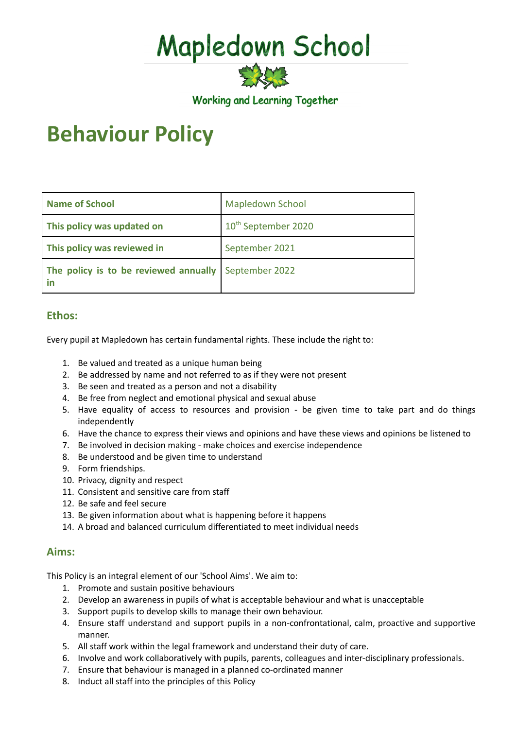# Mapledown School

**Working and Learning Together** 

# **Behaviour Policy**

| <b>Name of School</b>                                      | <b>Mapledown School</b>         |
|------------------------------------------------------------|---------------------------------|
| This policy was updated on                                 | 10 <sup>th</sup> September 2020 |
| This policy was reviewed in                                | September 2021                  |
| The policy is to be reviewed annually September 2022<br>in |                                 |

# **Ethos:**

Every pupil at Mapledown has certain fundamental rights. These include the right to:

- 1. Be valued and treated as a unique human being
- 2. Be addressed by name and not referred to as if they were not present
- 3. Be seen and treated as a person and not a disability
- 4. Be free from neglect and emotional physical and sexual abuse
- 5. Have equality of access to resources and provision be given time to take part and do things independently
- 6. Have the chance to express their views and opinions and have these views and opinions be listened to
- 7. Be involved in decision making make choices and exercise independence
- 8. Be understood and be given time to understand
- 9. Form friendships.
- 10. Privacy, dignity and respect
- 11. Consistent and sensitive care from staff
- 12. Be safe and feel secure
- 13. Be given information about what is happening before it happens
- 14. A broad and balanced curriculum differentiated to meet individual needs

# **Aims:**

This Policy is an integral element of our 'School Aims'. We aim to:

- 1. Promote and sustain positive behaviours
- 2. Develop an awareness in pupils of what is acceptable behaviour and what is unacceptable
- 3. Support pupils to develop skills to manage their own behaviour.
- 4. Ensure staff understand and support pupils in a non-confrontational, calm, proactive and supportive manner.
- 5. All staff work within the legal framework and understand their duty of care.
- 6. Involve and work collaboratively with pupils, parents, colleagues and inter-disciplinary professionals.
- 7. Ensure that behaviour is managed in a planned co-ordinated manner
- 8. Induct all staff into the principles of this Policy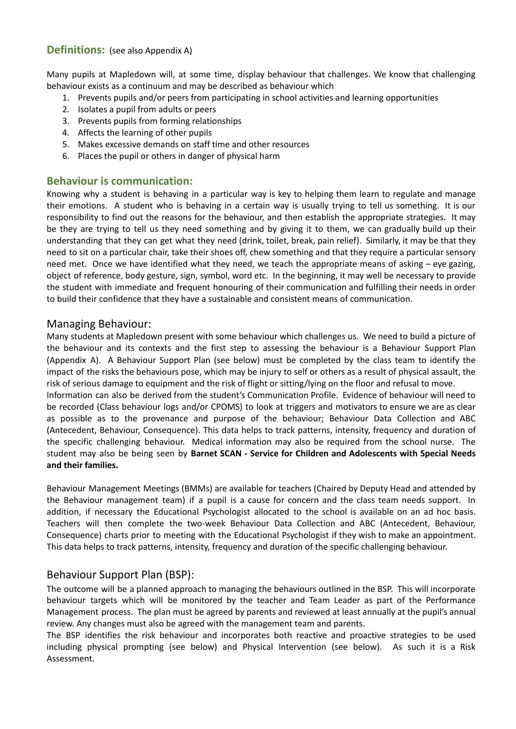#### **Definitions:** (see also Appendix A)

Many pupils at Mapledown will, at some time, display behaviour that challenges. We know that challenging behaviour exists as a continuum and may be described as behaviour which

- 1. Prevents pupils and/or peers from participating in school activities and learning opportunities
- 2. Isolates a pupil from adults or peers
- 3. Prevents pupils from forming relationships
- 4. Affects the learning of other pupils
- 5. Makes excessive demands on staff time and other resources
- 6. Places the pupil or others in danger of physical harm

#### **Behaviour is communication:**

Knowing why a student is behaving in a particular way is key to helping them learn to regulate and manage their emotions. A student who is behaving in a certain way is usually trying to tell us something. It is our responsibility to find out the reasons for the behaviour, and then establish the appropriate strategies. It may be they are trying to tell us they need something and by giving it to them, we can gradually build up their understanding that they can get what they need (drink, toilet, break, pain relief). Similarly, it may be that they need to sit on a particular chair, take their shoes off, chew something and that they require a particular sensory need met. Once we have identified what they need, we teach the appropriate means of asking – eye gazing, object of reference, body gesture, sign, symbol, word etc. In the beginning, it may well be necessary to provide the student with immediate and frequent honouring of their communication and fulfilling their needs in order to build their confidence that they have a sustainable and consistent means of communication.

#### Managing Behaviour:

Many students at Mapledown present with some behaviour which challenges us. We need to build a picture of the behaviour and its contexts and the first step to assessing the behaviour is a Behaviour Support Plan (Appendix A). A Behaviour Support Plan (see below) must be completed by the class team to identify the impact of the risks the behaviours pose, which may be injury to self or others as a result of physical assault, the risk of serious damage to equipment and the risk of flight or sitting/lying on the floor and refusal to move. Information can also be derived from the student's Communication Profile. Evidence of behaviour will need to be recorded (Class behaviour logs and/or CPOMS) to look at triggers and motivators to ensure we are as clear as possible as to the provenance and purpose of the behaviour; Behaviour Data Collection and ABC (Antecedent, Behaviour, Consequence). This data helps to track patterns, intensity, frequency and duration of the specific challenging behaviour. Medical information may also be required from the school nurse. The

student may also be being seen by **Barnet SCAN - Service for Children and Adolescents with Special Needs and their families.**

Behaviour Management Meetings (BMMs) are available for teachers (Chaired by Deputy Head and attended by the Behaviour management team) if a pupil is a cause for concern and the class team needs support. In addition, if necessary the Educational Psychologist allocated to the school is available on an ad hoc basis. Teachers will then complete the two-week Behaviour Data Collection and ABC (Antecedent, Behaviour, Consequence) charts prior to meeting with the Educational Psychologist if they wish to make an appointment. This data helps to track patterns, intensity, frequency and duration of the specific challenging behaviour.

# Behaviour Support Plan (BSP):

The outcome will be a planned approach to managing the behaviours outlined in the BSP. This will incorporate behaviour targets which will be monitored by the teacher and Team Leader as part of the Performance Management process. The plan must be agreed by parents and reviewed at least annually at the pupil's annual review. Any changes must also be agreed with the management team and parents.

The BSP identifies the risk behaviour and incorporates both reactive and proactive strategies to be used including physical prompting (see below) and Physical Intervention (see below). As such it is a Risk Assessment.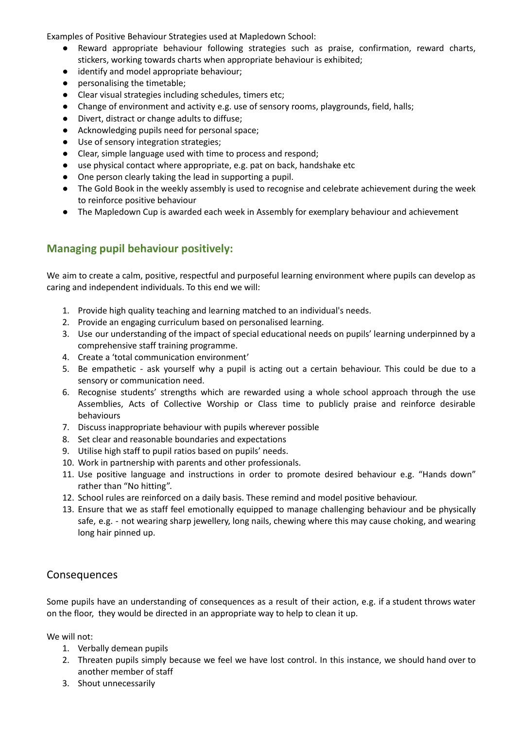Examples of Positive Behaviour Strategies used at Mapledown School:

- Reward appropriate behaviour following strategies such as praise, confirmation, reward charts, stickers, working towards charts when appropriate behaviour is exhibited;
- identify and model appropriate behaviour;
- personalising the timetable;
- Clear visual strategies including schedules, timers etc;
- Change of environment and activity e.g. use of sensory rooms, playgrounds, field, halls;
- Divert, distract or change adults to diffuse;
- Acknowledging pupils need for personal space;
- Use of sensory integration strategies;
- Clear, simple language used with time to process and respond;
- use physical contact where appropriate, e.g. pat on back, handshake etc
- One person clearly taking the lead in supporting a pupil.
- The Gold Book in the weekly assembly is used to recognise and celebrate achievement during the week to reinforce positive behaviour
- The Mapledown Cup is awarded each week in Assembly for exemplary behaviour and achievement

# **Managing pupil behaviour positively:**

We aim to create a calm, positive, respectful and purposeful learning environment where pupils can develop as caring and independent individuals. To this end we will:

- 1. Provide high quality teaching and learning matched to an individual's needs.
- 2. Provide an engaging curriculum based on personalised learning.
- 3. Use our understanding of the impact of special educational needs on pupils' learning underpinned by a comprehensive staff training programme.
- 4. Create a 'total communication environment'
- 5. Be empathetic ask yourself why a pupil is acting out a certain behaviour. This could be due to a sensory or communication need.
- 6. Recognise students' strengths which are rewarded using a whole school approach through the use Assemblies, Acts of Collective Worship or Class time to publicly praise and reinforce desirable behaviours
- 7. Discuss inappropriate behaviour with pupils wherever possible
- 8. Set clear and reasonable boundaries and expectations
- 9. Utilise high staff to pupil ratios based on pupils' needs.
- 10. Work in partnership with parents and other professionals.
- 11. Use positive language and instructions in order to promote desired behaviour e.g. "Hands down" rather than "No hitting".
- 12. School rules are reinforced on a daily basis. These remind and model positive behaviour.
- 13. Ensure that we as staff feel emotionally equipped to manage challenging behaviour and be physically safe, e.g. - not wearing sharp jewellery, long nails, chewing where this may cause choking, and wearing long hair pinned up.

# Consequences

Some pupils have an understanding of consequences as a result of their action, e.g. if a student throws water on the floor, they would be directed in an appropriate way to help to clean it up.

We will not:

- 1. Verbally demean pupils
- 2. Threaten pupils simply because we feel we have lost control. In this instance, we should hand over to another member of staff
- 3. Shout unnecessarily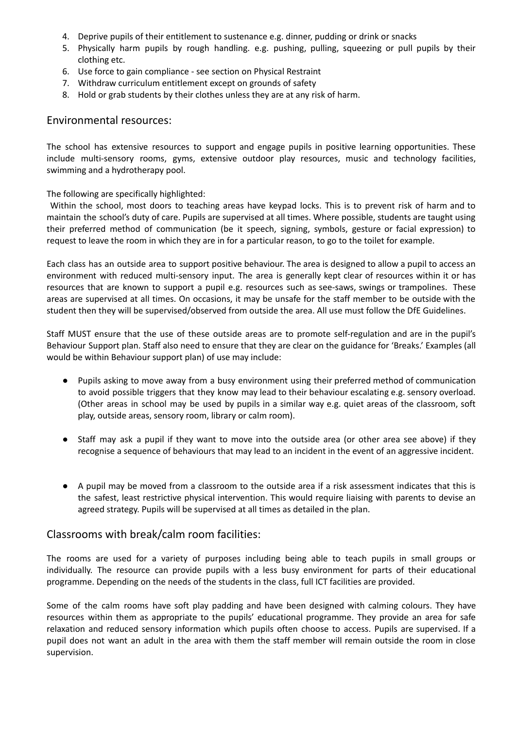- 4. Deprive pupils of their entitlement to sustenance e.g. dinner, pudding or drink or snacks
- 5. Physically harm pupils by rough handling. e.g. pushing, pulling, squeezing or pull pupils by their clothing etc.
- 6. Use force to gain compliance see section on Physical Restraint
- 7. Withdraw curriculum entitlement except on grounds of safety
- 8. Hold or grab students by their clothes unless they are at any risk of harm.

#### Environmental resources:

The school has extensive resources to support and engage pupils in positive learning opportunities. These include multi-sensory rooms, gyms, extensive outdoor play resources, music and technology facilities, swimming and a hydrotherapy pool.

The following are specifically highlighted:

Within the school, most doors to teaching areas have keypad locks. This is to prevent risk of harm and to maintain the school's duty of care. Pupils are supervised at all times. Where possible, students are taught using their preferred method of communication (be it speech, signing, symbols, gesture or facial expression) to request to leave the room in which they are in for a particular reason, to go to the toilet for example.

Each class has an outside area to support positive behaviour. The area is designed to allow a pupil to access an environment with reduced multi-sensory input. The area is generally kept clear of resources within it or has resources that are known to support a pupil e.g. resources such as see-saws, swings or trampolines. These areas are supervised at all times. On occasions, it may be unsafe for the staff member to be outside with the student then they will be supervised/observed from outside the area. All use must follow the DfE Guidelines.

Staff MUST ensure that the use of these outside areas are to promote self-regulation and are in the pupil's Behaviour Support plan. Staff also need to ensure that they are clear on the guidance for 'Breaks.' Examples (all would be within Behaviour support plan) of use may include:

- Pupils asking to move away from a busy environment using their preferred method of communication to avoid possible triggers that they know may lead to their behaviour escalating e.g. sensory overload. (Other areas in school may be used by pupils in a similar way e.g. quiet areas of the classroom, soft play, outside areas, sensory room, library or calm room).
- Staff may ask a pupil if they want to move into the outside area (or other area see above) if they recognise a sequence of behaviours that may lead to an incident in the event of an aggressive incident.
- A pupil may be moved from a classroom to the outside area if a risk assessment indicates that this is the safest, least restrictive physical intervention. This would require liaising with parents to devise an agreed strategy. Pupils will be supervised at all times as detailed in the plan.

#### Classrooms with break/calm room facilities:

The rooms are used for a variety of purposes including being able to teach pupils in small groups or individually. The resource can provide pupils with a less busy environment for parts of their educational programme. Depending on the needs of the students in the class, full ICT facilities are provided.

Some of the calm rooms have soft play padding and have been designed with calming colours. They have resources within them as appropriate to the pupils' educational programme. They provide an area for safe relaxation and reduced sensory information which pupils often choose to access. Pupils are supervised. If a pupil does not want an adult in the area with them the staff member will remain outside the room in close supervision.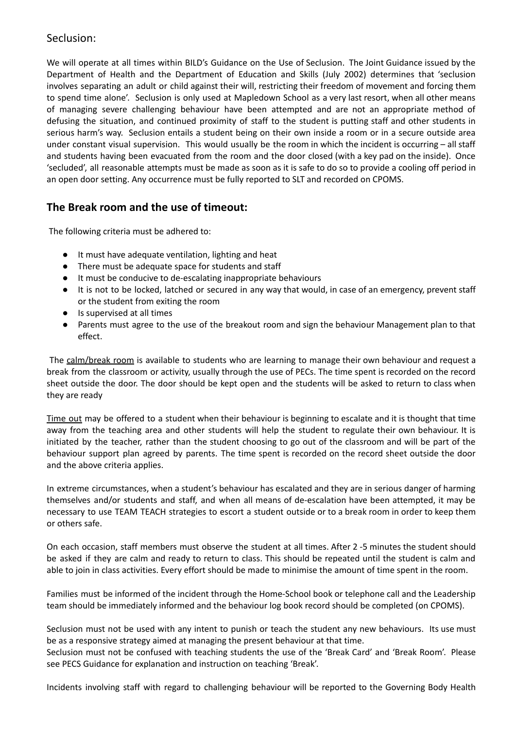# Seclusion:

We will operate at all times within BILD's Guidance on the Use of Seclusion. The Joint Guidance issued by the Department of Health and the Department of Education and Skills (July 2002) determines that 'seclusion involves separating an adult or child against their will, restricting their freedom of movement and forcing them to spend time alone'. Seclusion is only used at Mapledown School as a very last resort, when all other means of managing severe challenging behaviour have been attempted and are not an appropriate method of defusing the situation, and continued proximity of staff to the student is putting staff and other students in serious harm's way. Seclusion entails a student being on their own inside a room or in a secure outside area under constant visual supervision. This would usually be the room in which the incident is occurring – all staff and students having been evacuated from the room and the door closed (with a key pad on the inside). Once 'secluded', all reasonable attempts must be made as soon as it is safe to do so to provide a cooling off period in an open door setting. Any occurrence must be fully reported to SLT and recorded on CPOMS.

# **The Break room and the use of timeout:**

The following criteria must be adhered to:

- It must have adequate ventilation, lighting and heat
- There must be adequate space for students and staff
- It must be conducive to de-escalating inappropriate behaviours
- It is not to be locked, latched or secured in any way that would, in case of an emergency, prevent staff or the student from exiting the room
- Is supervised at all times
- Parents must agree to the use of the breakout room and sign the behaviour Management plan to that effect.

The calm/break room is available to students who are learning to manage their own behaviour and request a break from the classroom or activity, usually through the use of PECs. The time spent is recorded on the record sheet outside the door. The door should be kept open and the students will be asked to return to class when they are ready

Time out may be offered to a student when their behaviour is beginning to escalate and it is thought that time away from the teaching area and other students will help the student to regulate their own behaviour. It is initiated by the teacher, rather than the student choosing to go out of the classroom and will be part of the behaviour support plan agreed by parents. The time spent is recorded on the record sheet outside the door and the above criteria applies.

In extreme circumstances, when a student's behaviour has escalated and they are in serious danger of harming themselves and/or students and staff, and when all means of de-escalation have been attempted, it may be necessary to use TEAM TEACH strategies to escort a student outside or to a break room in order to keep them or others safe.

On each occasion, staff members must observe the student at all times. After 2 -5 minutes the student should be asked if they are calm and ready to return to class. This should be repeated until the student is calm and able to join in class activities. Every effort should be made to minimise the amount of time spent in the room.

Families must be informed of the incident through the Home-School book or telephone call and the Leadership team should be immediately informed and the behaviour log book record should be completed (on CPOMS).

Seclusion must not be used with any intent to punish or teach the student any new behaviours. Its use must be as a responsive strategy aimed at managing the present behaviour at that time.

Seclusion must not be confused with teaching students the use of the 'Break Card' and 'Break Room'. Please see PECS Guidance for explanation and instruction on teaching 'Break'.

Incidents involving staff with regard to challenging behaviour will be reported to the Governing Body Health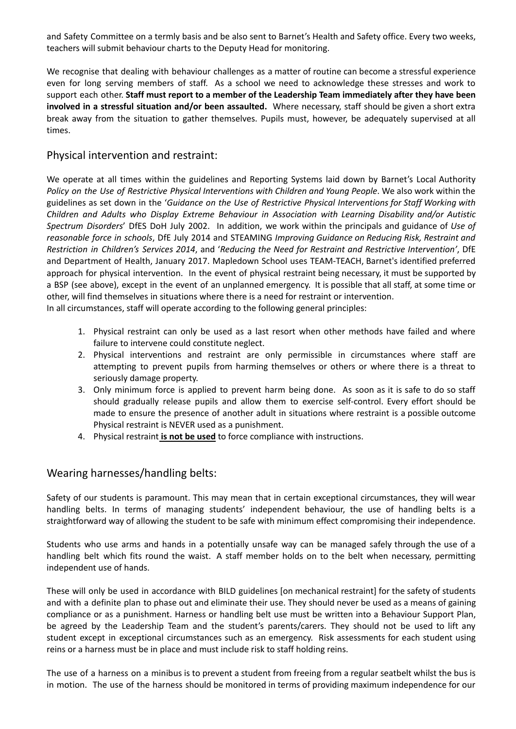and Safety Committee on a termly basis and be also sent to Barnet's Health and Safety office. Every two weeks, teachers will submit behaviour charts to the Deputy Head for monitoring.

We recognise that dealing with behaviour challenges as a matter of routine can become a stressful experience even for long serving members of staff. As a school we need to acknowledge these stresses and work to support each other. **Staff must report to a member of the Leadership Team immediately after they have been involved in a stressful situation and/or been assaulted.** Where necessary, staff should be given a short extra break away from the situation to gather themselves. Pupils must, however, be adequately supervised at all times.

#### Physical intervention and restraint:

We operate at all times within the guidelines and Reporting Systems laid down by Barnet's Local Authority *Policy on the Use of Restrictive Physical Interventions with Children and Young People*. We also work within the guidelines as set down in the '*Guidance on the Use of Restrictive Physical Interventions for Staff Working with Children and Adults who Display Extreme Behaviour in Association with Learning Disability and/or Autistic Spectrum Disorders*' DfES DoH July 2002. In addition, we work within the principals and guidance of *Use of reasonable force in schools*, DfE July 2014 and STEAMING *Improving Guidance on Reducing Risk, Restraint and Restriction in Children's Services 2014*, and '*Reducing the Need for Restraint and Restrictive Intervention'*, DfE and Department of Health, January 2017. Mapledown School uses TEAM-TEACH, Barnet's identified preferred approach for physical intervention. In the event of physical restraint being necessary, it must be supported by a BSP (see above), except in the event of an unplanned emergency. It is possible that all staff, at some time or other, will find themselves in situations where there is a need for restraint or intervention.

In all circumstances, staff will operate according to the following general principles:

- 1. Physical restraint can only be used as a last resort when other methods have failed and where failure to intervene could constitute neglect.
- 2. Physical interventions and restraint are only permissible in circumstances where staff are attempting to prevent pupils from harming themselves or others or where there is a threat to seriously damage property.
- 3. Only minimum force is applied to prevent harm being done. As soon as it is safe to do so staff should gradually release pupils and allow them to exercise self-control. Every effort should be made to ensure the presence of another adult in situations where restraint is a possible outcome Physical restraint is NEVER used as a punishment.
- 4. Physical restraint **is not be used** to force compliance with instructions.

# Wearing harnesses/handling belts:

Safety of our students is paramount. This may mean that in certain exceptional circumstances, they will wear handling belts. In terms of managing students' independent behaviour, the use of handling belts is a straightforward way of allowing the student to be safe with minimum effect compromising their independence.

Students who use arms and hands in a potentially unsafe way can be managed safely through the use of a handling belt which fits round the waist. A staff member holds on to the belt when necessary, permitting independent use of hands.

These will only be used in accordance with BILD guidelines [on mechanical restraint] for the safety of students and with a definite plan to phase out and eliminate their use. They should never be used as a means of gaining compliance or as a punishment. Harness or handling belt use must be written into a Behaviour Support Plan, be agreed by the Leadership Team and the student's parents/carers. They should not be used to lift any student except in exceptional circumstances such as an emergency. Risk assessments for each student using reins or a harness must be in place and must include risk to staff holding reins.

The use of a harness on a minibus is to prevent a student from freeing from a regular seatbelt whilst the bus is in motion. The use of the harness should be monitored in terms of providing maximum independence for our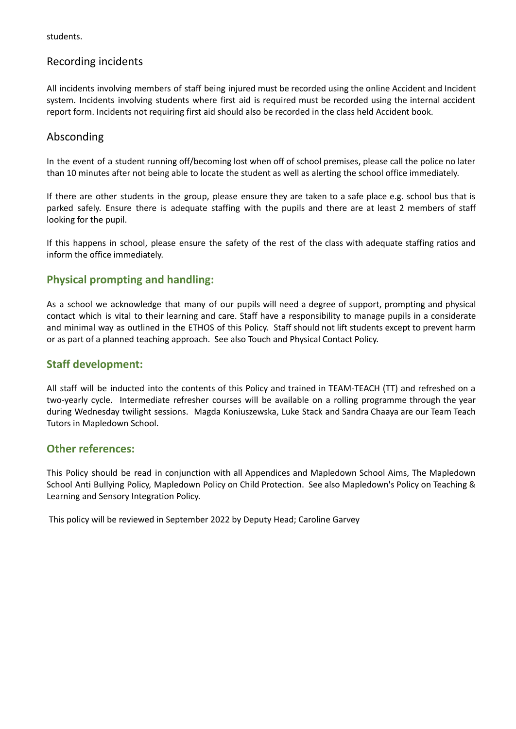students.

# Recording incidents

All incidents involving members of staff being injured must be recorded using the online Accident and Incident system. Incidents involving students where first aid is required must be recorded using the internal accident report form. Incidents not requiring first aid should also be recorded in the class held Accident book.

# Absconding

In the event of a student running off/becoming lost when off of school premises, please call the police no later than 10 minutes after not being able to locate the student as well as alerting the school office immediately.

If there are other students in the group, please ensure they are taken to a safe place e.g. school bus that is parked safely. Ensure there is adequate staffing with the pupils and there are at least 2 members of staff looking for the pupil.

If this happens in school, please ensure the safety of the rest of the class with adequate staffing ratios and inform the office immediately.

# **Physical prompting and handling:**

As a school we acknowledge that many of our pupils will need a degree of support, prompting and physical contact which is vital to their learning and care. Staff have a responsibility to manage pupils in a considerate and minimal way as outlined in the ETHOS of this Policy. Staff should not lift students except to prevent harm or as part of a planned teaching approach. See also Touch and Physical Contact Policy.

# **Staff development:**

All staff will be inducted into the contents of this Policy and trained in TEAM-TEACH (TT) and refreshed on a two-yearly cycle. Intermediate refresher courses will be available on a rolling programme through the year during Wednesday twilight sessions. Magda Koniuszewska, Luke Stack and Sandra Chaaya are our Team Teach Tutors in Mapledown School.

# **Other references:**

This Policy should be read in conjunction with all Appendices and Mapledown School Aims, The Mapledown School Anti Bullying Policy, Mapledown Policy on Child Protection. See also Mapledown's Policy on Teaching & Learning and Sensory Integration Policy.

This policy will be reviewed in September 2022 by Deputy Head; Caroline Garvey